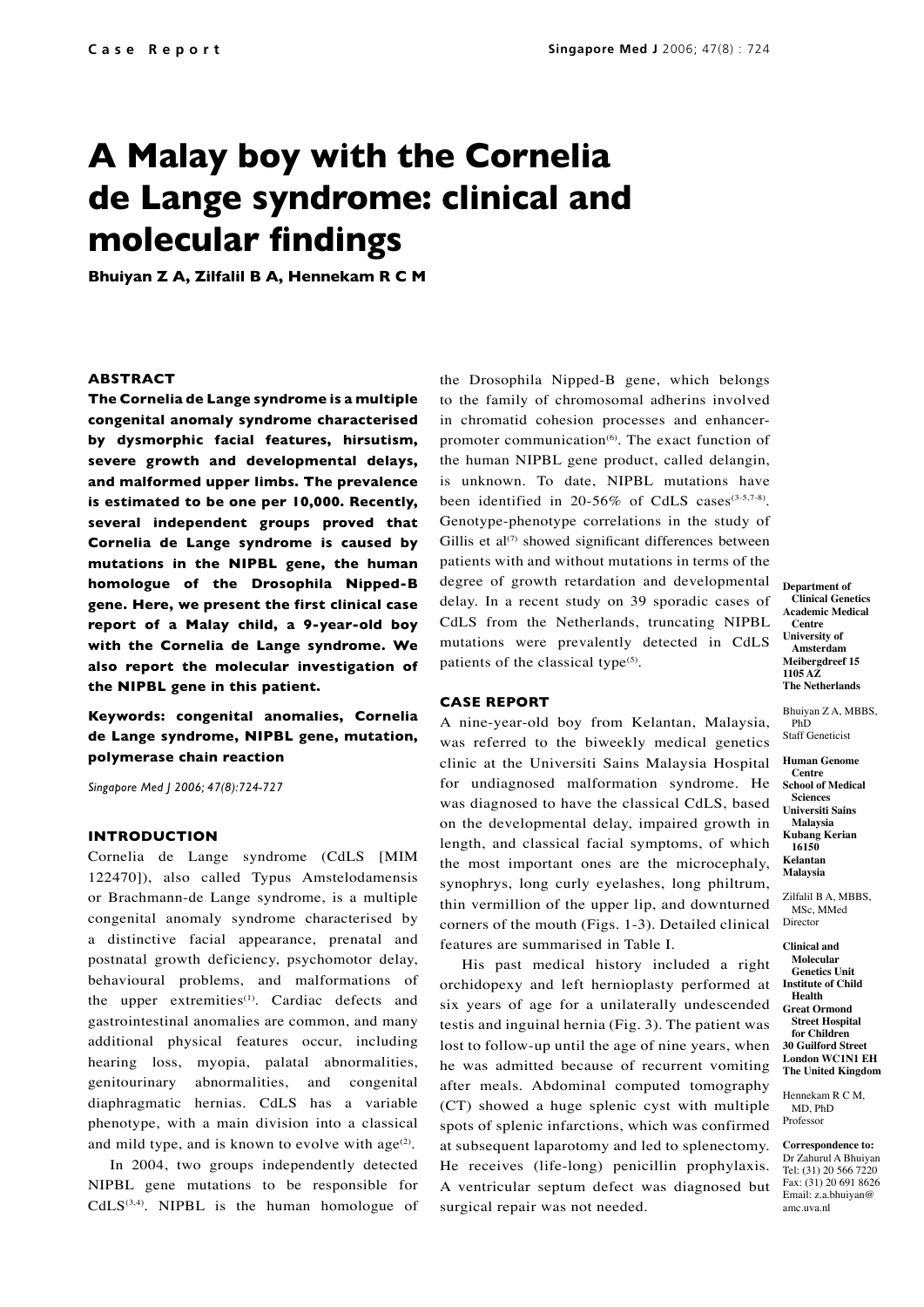# **A Malay boy with the Cornelia de Lange syndrome: clinical and molecular findings**

**Bhuiyan Z A, Zilfalil B A, Hennekam R C M**

# **ABSTRACT**

**The Cornelia de Lange syndrome is a multiple congenital anomaly syndrome characterised by dysmorphic facial features, hirsutism, severe growth and developmental delays, and malformed upper limbs. The prevalence is estimated to be one per 10,000. Recently, several independent groups proved that Cornelia de Lange syndrome is caused by mutations in the NIPBL gene, the human homologue of the Drosophila Nipped-B gene. Here, we present the first clinical case report of a Malay child, a 9-year-old boy with the Cornelia de Lange syndrome. We also report the molecular investigation of the NIPBL gene in this patient.**

**Keywords: congenital anomalies, Cornelia de Lange syndrome, NIPBL gene, mutation, polymerase chain reaction**

*Singapore Med J 2006; 47(8):724-727*

#### **INTRODUCTION**

Cornelia de Lange syndrome (CdLS [MIM 122470]), also called Typus Amstelodamensis or Brachmann-de Lange syndrome, is a multiple congenital anomaly syndrome characterised by a distinctive facial appearance, prenatal and postnatal growth deficiency, psychomotor delay, behavioural problems, and malformations of the upper extremities $(1)$ . Cardiac defects and gastrointestinal anomalies are common, and many additional physical features occur, including hearing loss, myopia, palatal abnormalities, genitourinary abnormalities, and congenital diaphragmatic hernias. CdLS has a variable phenotype, with a main division into a classical and mild type, and is known to evolve with  $age^{(2)}$ .

In 2004, two groups independently detected NIPBL gene mutations to be responsible for  $CdLS^{(3,4)}$ . NIPBL is the human homologue of the Drosophila Nipped-B gene, which belongs to the family of chromosomal adherins involved in chromatid cohesion processes and enhancerpromoter communication $(6)$ . The exact function of the human NIPBL gene product, called delangin, is unknown. To date, NIPBL mutations have been identified in 20-56% of CdLS cases $(3-5,7-8)$ . Genotype-phenotype correlations in the study of Gillis et al<sup>(7)</sup> showed significant differences between patients with and without mutations in terms of the degree of growth retardation and developmental delay. In a recent study on 39 sporadic cases of CdLS from the Netherlands, truncating NIPBL mutations were prevalently detected in CdLS patients of the classical type $(5)$ .

### **CASE REPORT**

A nine-year-old boy from Kelantan, Malaysia, was referred to the biweekly medical genetics clinic at the Universiti Sains Malaysia Hospital for undiagnosed malformation syndrome. He was diagnosed to have the classical CdLS, based on the developmental delay, impaired growth in length, and classical facial symptoms, of which the most important ones are the microcephaly, synophrys, long curly eyelashes, long philtrum, thin vermillion of the upper lip, and downturned corners of the mouth (Figs. 1-3). Detailed clinical features are summarised in Table I.

His past medical history included a right orchidopexy and left hernioplasty performed at six years of age for a unilaterally undescended testis and inguinal hernia (Fig. 3). The patient was lost to follow-up until the age of nine years, when he was admitted because of recurrent vomiting after meals. Abdominal computed tomography (CT) showed a huge splenic cyst with multiple spots of splenic infarctions, which was confirmed at subsequent laparotomy and led to splenectomy. He receives (life-long) penicillin prophylaxis. A ventricular septum defect was diagnosed but surgical repair was not needed.

**Department of Clinical Genetics Academic Medical Centre University of Amsterdam Meibergdreef 15 1105 AZ The Netherlands**

Bhuiyan Z A, MBBS, PhD Staff Geneticist

**Human Genome Centre School of Medical Sciences Universiti Sains Malaysia Kubang Kerian 16150 Kelantan Malaysia**

Zilfalil B A, MBBS, MSc, MMed Director

**Clinical and Molecular Genetics Unit Institute of Child Health Great Ormond Street Hospital for Children 30 Guilford Street London WC1N1 EH The United Kingdom**

Hennekam R C M, MD, PhD Professor

**Correspondence to:** Dr Zahurul A Bhuiyan Tel: (31) 20 566 7220 Fax: (31) 20 691 8626 Email: z.a.bhuiyan@ amc.uva.nl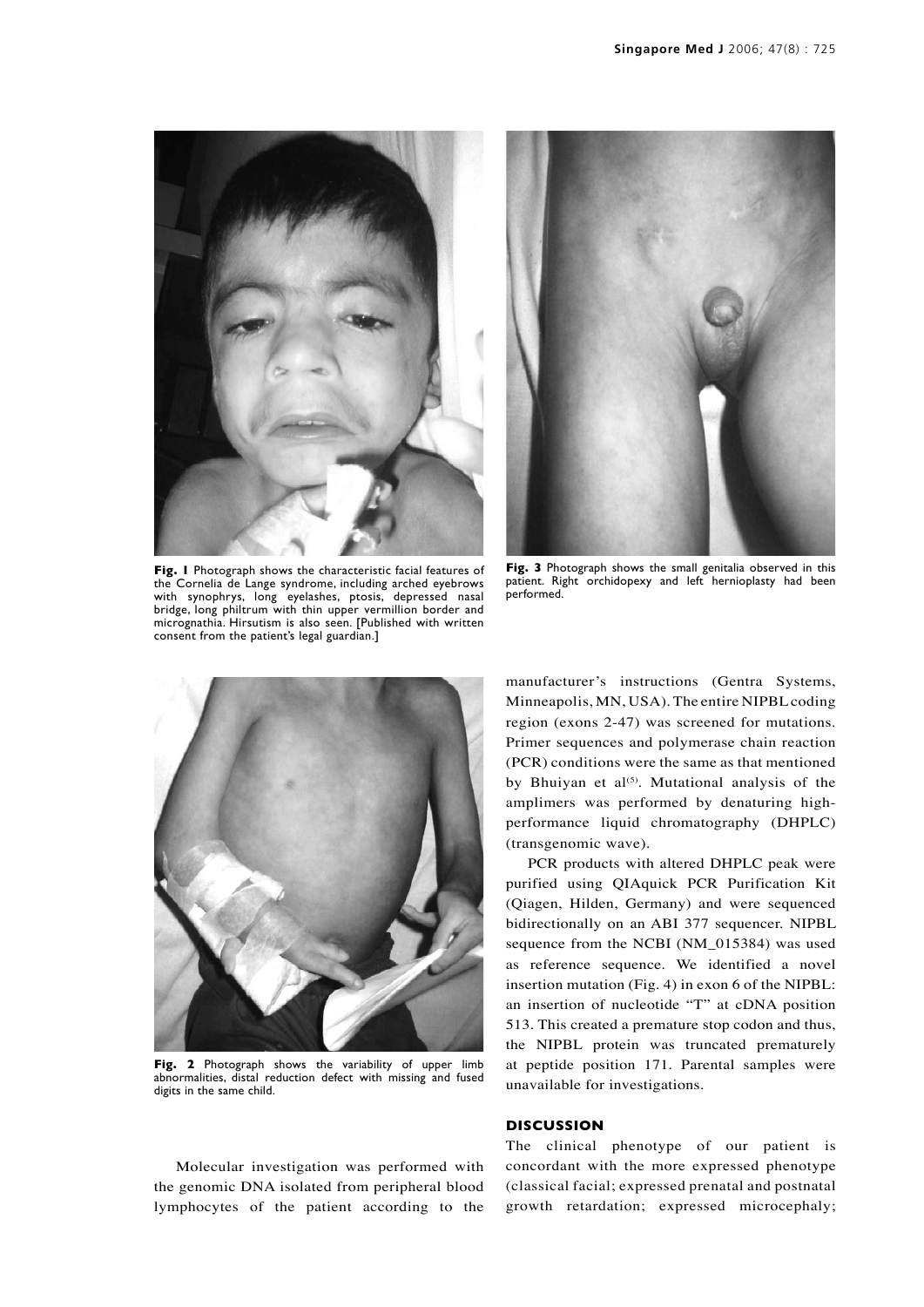

**Fig. 1** Photograph shows the characteristic facial features of the Cornelia de Lange syndrome, including arched eyebrows with synophrys, long eyelashes, ptosis, depressed nasal bridge, long philtrum with thin upper vermillion border and micrognathia. Hirsutism is also seen. [Published with written consent from the patient's legal guardian.]



**Fig. 3** Photograph shows the small genitalia observed in this patient. Right orchidopexy and left hernioplasty had been performed.



Fig. 2 Photograph shows the variability of upper limb abnormalities, distal reduction defect with missing and fused digits in the same child.

manufacturer's instructions (Gentra Systems, Minneapolis, MN, USA). The entire NIPBLcoding region (exons 2-47) was screened for mutations. Primer sequences and polymerase chain reaction (PCR) conditions were the same as that mentioned by Bhuiyan et al<sup>(5)</sup>. Mutational analysis of the amplimers was performed by denaturing highperformance liquid chromatography (DHPLC) (transgenomic wave).

PCR products with altered DHPLC peak were purified using QIAquick PCR Purification Kit (Qiagen, Hilden, Germany) and were sequenced bidirectionally on an ABI 377 sequencer. NIPBL sequence from the NCBI (NM\_015384) was used as reference sequence. We identified a novel insertion mutation (Fig. 4) in exon 6 of the NIPBL: an insertion of nucleotide "T" at cDNA position 513. This created a premature stop codon and thus, the NIPBL protein was truncated prematurely at peptide position 171. Parental samples were unavailable for investigations.

## **DISCUSSION**

The clinical phenotype of our patient is concordant with the more expressed phenotype (classical facial; expressed prenatal and postnatal growth retardation; expressed microcephaly;

Molecular investigation was performed with the genomic DNA isolated from peripheral blood lymphocytes of the patient according to the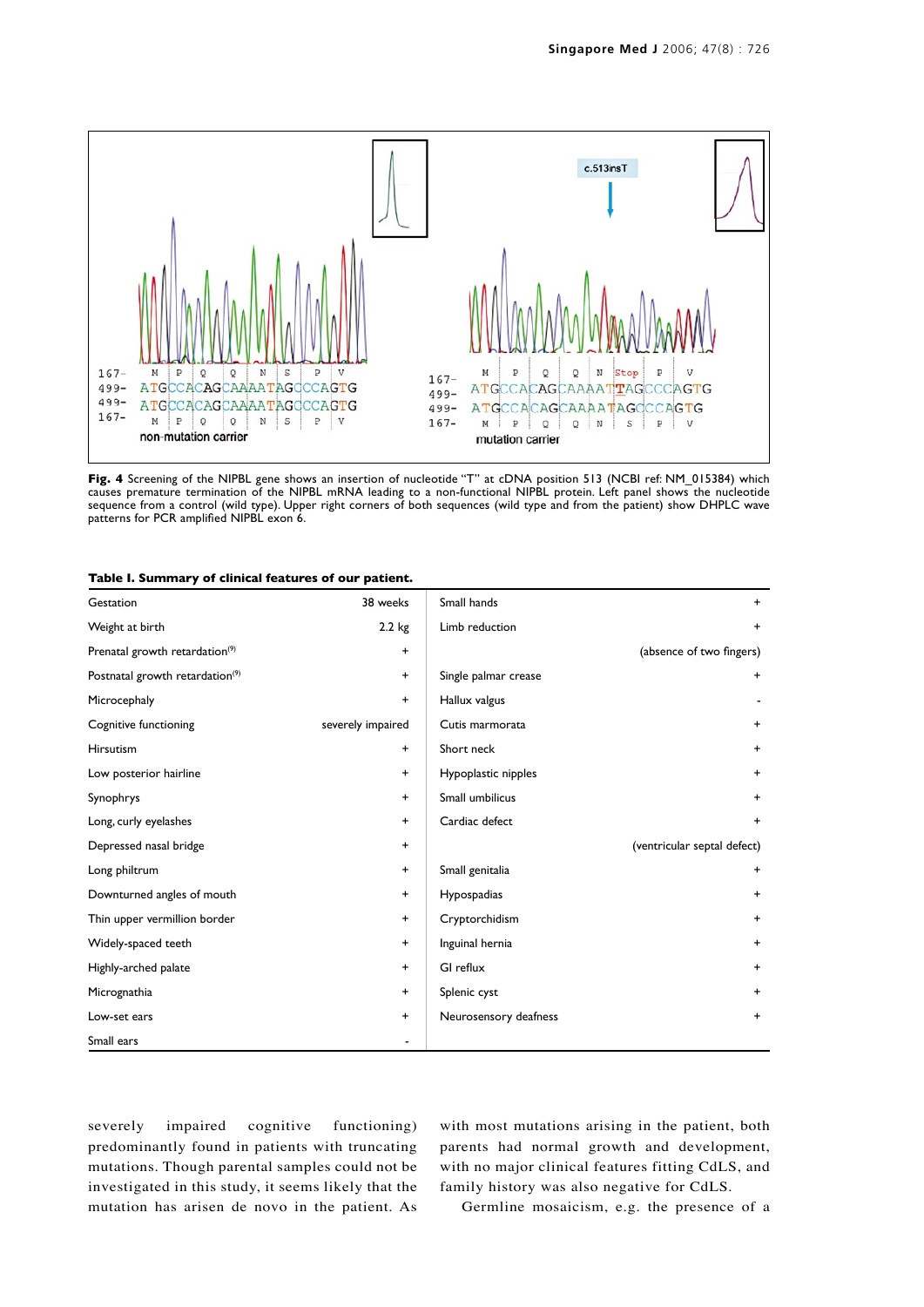

**Fig. 4** Screening of the NIPBL gene shows an insertion of nucleotide "T" at cDNA position 513 (NCBI ref: NM\_015384) which causes premature termination of the NIPBL mRNA leading to a non-functional NIPBL protein. Left panel shows the nucleotide sequence from a control (wild type). Upper right corners of both sequences (wild type and from the patient) show DHPLC wave patterns for PCR amplified NIPBL exon 6.

| Table I. Summary of clinical features of our patient. |  |  |  |  |  |  |
|-------------------------------------------------------|--|--|--|--|--|--|
|-------------------------------------------------------|--|--|--|--|--|--|

| Gestation                                   | 38 weeks          | Small hands           | $+$                         |
|---------------------------------------------|-------------------|-----------------------|-----------------------------|
| Weight at birth                             | $2.2$ kg          | Limb reduction        | $\ddot{}$                   |
| Prenatal growth retardation <sup>(9)</sup>  | $\ddot{}$         |                       | (absence of two fingers)    |
| Postnatal growth retardation <sup>(9)</sup> | $+$               | Single palmar crease  | $+$                         |
| Microcephaly                                | $\ddot{}$         | Hallux valgus         |                             |
| Cognitive functioning                       | severely impaired | Cutis marmorata       | $+$                         |
| <b>Hirsutism</b>                            | $+$               | Short neck            | $\ddot{}$                   |
| Low posterior hairline                      | $\ddot{}$         | Hypoplastic nipples   | $+$                         |
| Synophrys                                   | $\ddot{}$         | Small umbilicus       | $\ddot{}$                   |
| Long, curly eyelashes                       | $\ddot{}$         | Cardiac defect        | $\ddot{}$                   |
| Depressed nasal bridge                      | $\ddot{}$         |                       | (ventricular septal defect) |
| Long philtrum                               | $+$               | Small genitalia       | $+$                         |
| Downturned angles of mouth                  | $\ddot{}$         | Hypospadias           | $+$                         |
| Thin upper vermillion border                | $\ddot{}$         | Cryptorchidism        | $+$                         |
| Widely-spaced teeth                         | $\ddot{}$         | Inguinal hernia       | $+$                         |
| Highly-arched palate                        | $\ddot{}$         | GI reflux             | $+$                         |
| Micrognathia                                | $\ddot{}$         | Splenic cyst          | $+$                         |
| Low-set ears                                | $+$               | Neurosensory deafness | $\ddot{}$                   |
| Small ears                                  |                   |                       |                             |

severely impaired cognitive functioning) predominantly found in patients with truncating mutations. Though parental samples could not be investigated in this study, it seems likely that the mutation has arisen de novo in the patient. As with most mutations arising in the patient, both parents had normal growth and development, with no major clinical features fitting CdLS, and family history was also negative for CdLS.

Germline mosaicism, e.g. the presence of a